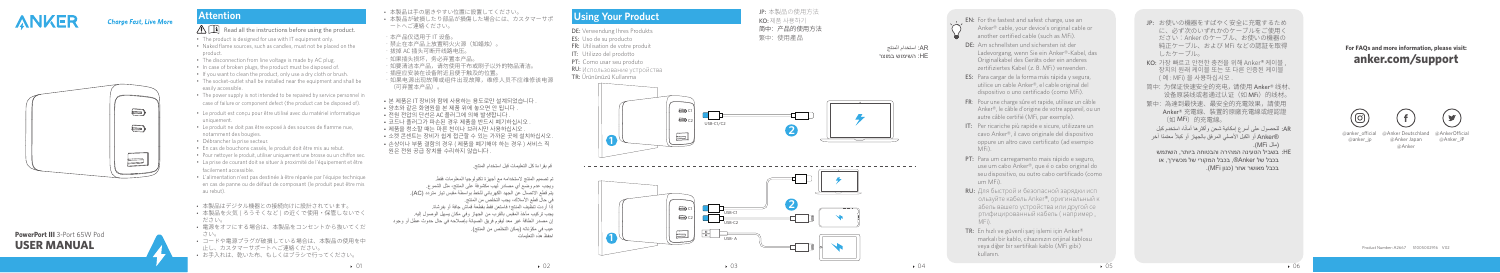

## **Charge Fast, Live More**

 $\qquad \qquad \Longleftrightarrow$ 

 $\bigoplus$ 

 $\equiv$ 



# **Attention**

## $\bigwedge \prod$  Read all the instructions before using the product.

- The product is designed for use with IT equipment only.
- Naked flame sources, such as candles, must not be placed on the product.
- The disconnection from line voltage is made by AC plug.
- In case of broken plugs, the product must be disposed of.
- If you want to clean the product, only use a dry cloth or brush.
- The socket-outlet shall be installed near the equipment and shall be easily accessible.
- The power supply is not intended to be repaired by service personnel in case of failure or component defect (the product can be disposed of).
- Le produit est conçu pour être utilisé avec du matériel informatique uniquement.
- Le produit ne doit pas être exposé à des sources de flamme nue, notamment des bougies.
- Débrancher la prise secteur.
- En cas de bouchons cassés, le produit doit être mis au rebut.
- Pour nettoyer le produit, utiliser uniquement une brosse ou un chiffon sec.
- La prise de courant doit se situer à proximité de l'équipement et être facilement accessible.
- L'alimentation n'est pas destinée à être réparée par l'équipe technique en cas de panne ou de défaut de composant (le produit peut être mis au rebut).
- • 本製品はデジタル機器との接続向けに設計されています。
- • 本製品を火気 ( ろうそくなど ) の近くで使用・保管しないでく ださい。
- • 電源をオフにする場合は、本製品をコンセントから抜いてくだ さい。
- • コードや電源プラグが破損している場合は、本製品の使用を中 止し、カスタマーサポートへご連絡ください。 • お手入れは、乾いた布、もしくはブラシで行ってください。



- • 本製品は手の届きやすい位置に設置してください。
- • 本製品が破損したり部品が損傷した場合には、カスタマーサポ
- ートへご連絡ください。
- • 本产品仅适用于 IT 设备。
- • 禁止在本产品上放置明火火源(如蜡烛)。
- · 拔掉 AC 插头可断开线路电压。
- ……<br>如果插头损坏,条必弃置本产品。
- • 如要清洁本产品,请勿使用干布或刷子以外的物品清洁。
- 插座应安装在设备附近日便干触及的位置,
- • 如果电源出现故障或组件出现故障,维修人员不应维修该电源 (可弃置本产品) 。
- 본 제품은 IT 장비와 함께 사용하는 용도로만 설계되었습니다 .
- 양초와 같은 화염원을 본 제품 위에 놓으면 안 됩니다
- 전원 전압의 단선은 AC 플러그에 의해 발생합니다
- 코드나 플러그가 파손된 경우 제품을 반드시 폐기하십시오.
- 제품을 청소할 때는 마른 천이나 브러시만 사용하십시오
- 소켓 콘센트는 장비가 쉽게 접근할 수 있는 가까운 곳에 설치하십시오
- • 손상이나 부품 결함의 경우 ( 제품을 폐기해야 하는 경우 ) 서비스 직 원은 전원 공급 장치를 수리하지 않습니다 .

قم بقراءة كل التعليمات قبل استخدام المنتج.

تم تصميم المنتج الستخدامه مع أجهزة تكنولوجيا المعلومات فقط. ويجب عدم وضع أي مصادر لهب مكشوفة على المنتج، مثل الشموع. يتم قطع االتصال عن الجهد الكهربائي للخط بواسطة مقبس تيار متردد )AC). في حال قطع األسالك، يجب التخلص من المنتج. إذا أردت تنظيف المنتج؛ فاستعن فقط بقطعة قماش جافة أو بفرشاة. يجب تركيب مأخذ المقبس بالقرب من الجهاز وفي مكان يسهل الوصول إليه. إن مصدر الطاقة غير معد ليقوم فريق الصيانة بإصالحه في حال حدوث عطل أو وجود عيب في مكوّناته (يمكن التخلص من المنتج). احفظ هذه التعليمات

@Anker Deutschland @anker\_ocial @anker\_ip

@AnkerOfficial @Anker\_JP

# **Using Your Product**

DE: Verwendung Ihres Produkts

- ES: Uso de su producto
- FR: Utilisation de votre produit
- IT: Utilizzo del prodotto PT: Como usar seu produto
- 
- RU: Использование устройства

### TR: Ürününüzü Kullanma









- EN: For the fastest and safest charge, use an Anker® cable, your device's original cable or another certified cable (such as MFi).
- DE: Am schnellsten und sichersten ist der Ladevorgang, wenn Sie ein Anker®-Kabel, das Originalkabel des Geräts oder ein anderes zertifiziertes Kabel (z. B. MFi) verwenden.
- ES: Para cargar de la forma más rápida y segura, utilice un cable Anker®, el cable original del dispositivo o uno certificado (como MFi).
- FR : Pour une charge sûre et rapide, utilisez un câble Anker®, le câble d'origine de votre appareil, ou un autre câble certifié (MFi, par exemple).
- IT: Per ricariche più rapide e sicure, utilizzare un cavo Anker®, il cavo originale del dispositivo oppure un altro cavo certificato (ad esempio MFi).
- PT: Para um carregamento mais rápido e seguro, use um cabo Anker®, que é o cabo original do seu dispositivo, ou outro cabo certificado (como um MFi).
- RU: Для быстрой и безопасной зарядки исп ользуйте кабель Anker®, оригинальный к абель вашего устройства или другой се ртифицированный кабель ( например , MFi).
- TR: En hızlı ve güvenli sarj islemi için Anker® markalı bir kablo, cihazınızın orijinal kablosu veya diğer bir sertifikalı kablo (MFi gibi) kullanın.
- JP: お使いの機器をすばやく安全に充電するため に、必ず次のいずれかのケーブルをご使用く ださい:Anker のケーブル、お使いの機器の 純正ケーブル、および MFi などの認証を取得 したケーブル。
- KO: 가장 빠르고 안전한 충전을 위해 Anker® 케이블 장치의 원래 케이블 또는 또 다른 인증된 케이블 ( 예 : MFi) 을 사용하십시오 .
- 简中: 为保证快速安全的充电, 请使用 Anker® 线材、 设备原装线或者通过认证(如 MFi)的线材。
- 繁中:為達到最快速、最安全的充電效果,請使用 Anker® 充電線、裝置的原廠充電線或經認證 (如 MFi)的充電線。
- AR: للحصول على اسرع إمكانية شحن واكثر ها امانا، استخدم كبل ً ً معتمدا آخر RAnker أو الكبل األصلي المرفق بالجهاز أو كبال ً )مثل MFi).
- בשביל הטעינה המהירה והבטוחה ביותר, השתמש :HE בכבל של Anker®, בכבל המקורי של מכשירך, או בכבל מאושר אחר )כגון MFi).

Product Number: A2667 51005002916 V02

## **For FAQs and mo re in formation, please visit: an k e r. com /suppo r t**





@Anker Japan @Anker